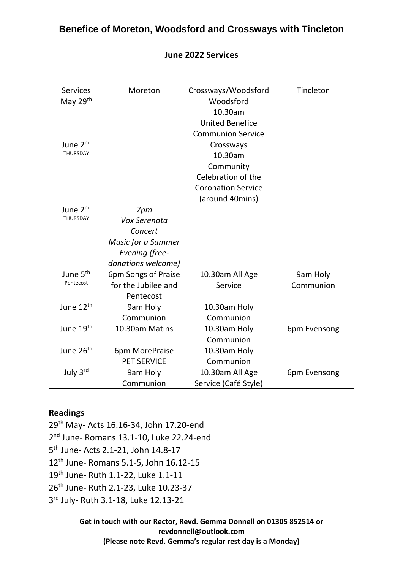# **Benefice of Moreton, Woodsford and Crossways with Tincleton**

#### **June 2022 Services**

| <b>Services</b>       | Moreton                   | Crossways/Woodsford       | Tincleton    |
|-----------------------|---------------------------|---------------------------|--------------|
| May 29th              |                           | Woodsford                 |              |
|                       |                           | 10.30am                   |              |
|                       |                           | <b>United Benefice</b>    |              |
|                       |                           | <b>Communion Service</b>  |              |
| June 2 <sup>nd</sup>  |                           | Crossways                 |              |
| THURSDAY              |                           | 10.30am                   |              |
|                       |                           | Community                 |              |
|                       |                           | Celebration of the        |              |
|                       |                           | <b>Coronation Service</b> |              |
|                       |                           | (around 40mins)           |              |
| June 2 <sup>nd</sup>  | 7pm                       |                           |              |
| <b>THURSDAY</b>       | Vox Serenata              |                           |              |
|                       | Concert                   |                           |              |
|                       | <b>Music for a Summer</b> |                           |              |
|                       | Evening (free-            |                           |              |
|                       | donations welcome)        |                           |              |
| June 5 <sup>th</sup>  | 6pm Songs of Praise       | 10.30am All Age           | 9am Holy     |
| Pentecost             | for the Jubilee and       | Service                   | Communion    |
|                       | Pentecost                 |                           |              |
| June 12 <sup>th</sup> | 9am Holy                  | 10.30am Holy              |              |
|                       | Communion                 | Communion                 |              |
| June 19 <sup>th</sup> | 10.30am Matins            | 10.30am Holy              | 6pm Evensong |
|                       |                           | Communion                 |              |
| June 26 <sup>th</sup> | 6pm MorePraise            | 10.30am Holy              |              |
|                       | <b>PET SERVICE</b>        | Communion                 |              |
| July 3rd              | 9am Holy                  | 10.30am All Age           | 6pm Evensong |
|                       | Communion                 | Service (Café Style)      |              |

#### **Readings**

29th May- Acts 16.16-34, John 17.20-end 2<sup>nd</sup> June- Romans 13.1-10, Luke 22.24-end 5 th June- Acts 2.1-21, John 14.8-17 12th June- Romans 5.1-5, John 16.12-15 19th June- Ruth 1.1-22, Luke 1.1-11 26<sup>th</sup> June- Ruth 2.1-23, Luke 10.23-37 3<sup>rd</sup> July- Ruth 3.1-18, Luke 12.13-21

> **Get in touch with our Rector, Revd. Gemma Donnell on 01305 852514 or [revdonnell@outlook.com](mailto:revdonnell@outlook.com) (Please note Revd. Gemma's regular rest day is a Monday)**